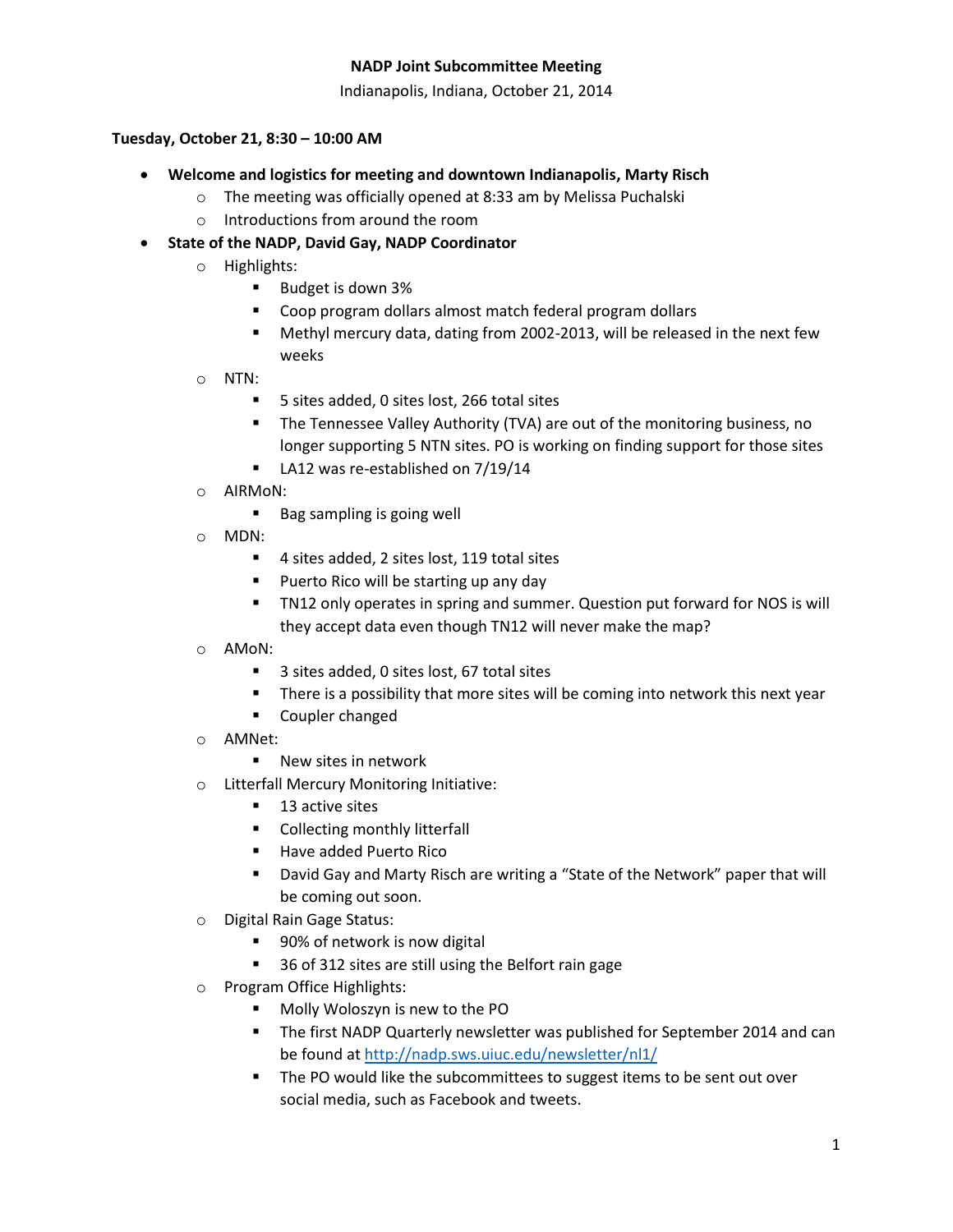Indianapolis, Indiana, October 21, 2014

### **Tuesday, October 21, 8:30 – 10:00 AM**

- **Welcome and logistics for meeting and downtown Indianapolis, Marty Risch**
	- o The meeting was officially opened at 8:33 am by Melissa Puchalski
	- o Introductions from around the room
- **State of the NADP, David Gay, NADP Coordinator**
	- o Highlights:
		- Budget is down 3%
		- **Coop program dollars almost match federal program dollars**
		- Methyl mercury data, dating from 2002-2013, will be released in the next few weeks
	- o NTN:
		- 5 sites added, 0 sites lost, 266 total sites
		- The Tennessee Valley Authority (TVA) are out of the monitoring business, no longer supporting 5 NTN sites. PO is working on finding support for those sites
		- LA12 was re-established on 7/19/14
	- o AIRMoN:
		- Bag sampling is going well
	- o MDN:
		- 4 sites added, 2 sites lost, 119 total sites
		- **Puerto Rico will be starting up any day**
		- TN12 only operates in spring and summer. Question put forward for NOS is will they accept data even though TN12 will never make the map?
	- o AMoN:
		- 3 sites added, 0 sites lost, 67 total sites
		- **There is a possibility that more sites will be coming into network this next year**
		- **E** Coupler changed
	- o AMNet:
		- New sites in network
	- o Litterfall Mercury Monitoring Initiative:
		- 13 active sites
		- **Collecting monthly litterfall**
		- **Have added Puerto Rico**
		- David Gay and Marty Risch are writing a "State of the Network" paper that will be coming out soon.
	- o Digital Rain Gage Status:
		- 90% of network is now digital
		- 36 of 312 sites are still using the Belfort rain gage
	- o Program Office Highlights:
		- **Molly Woloszyn is new to the PO**
		- The first NADP Quarterly newsletter was published for September 2014 and can be found at<http://nadp.sws.uiuc.edu/newsletter/nl1/>
		- **The PO would like the subcommittees to suggest items to be sent out over** social media, such as Facebook and tweets.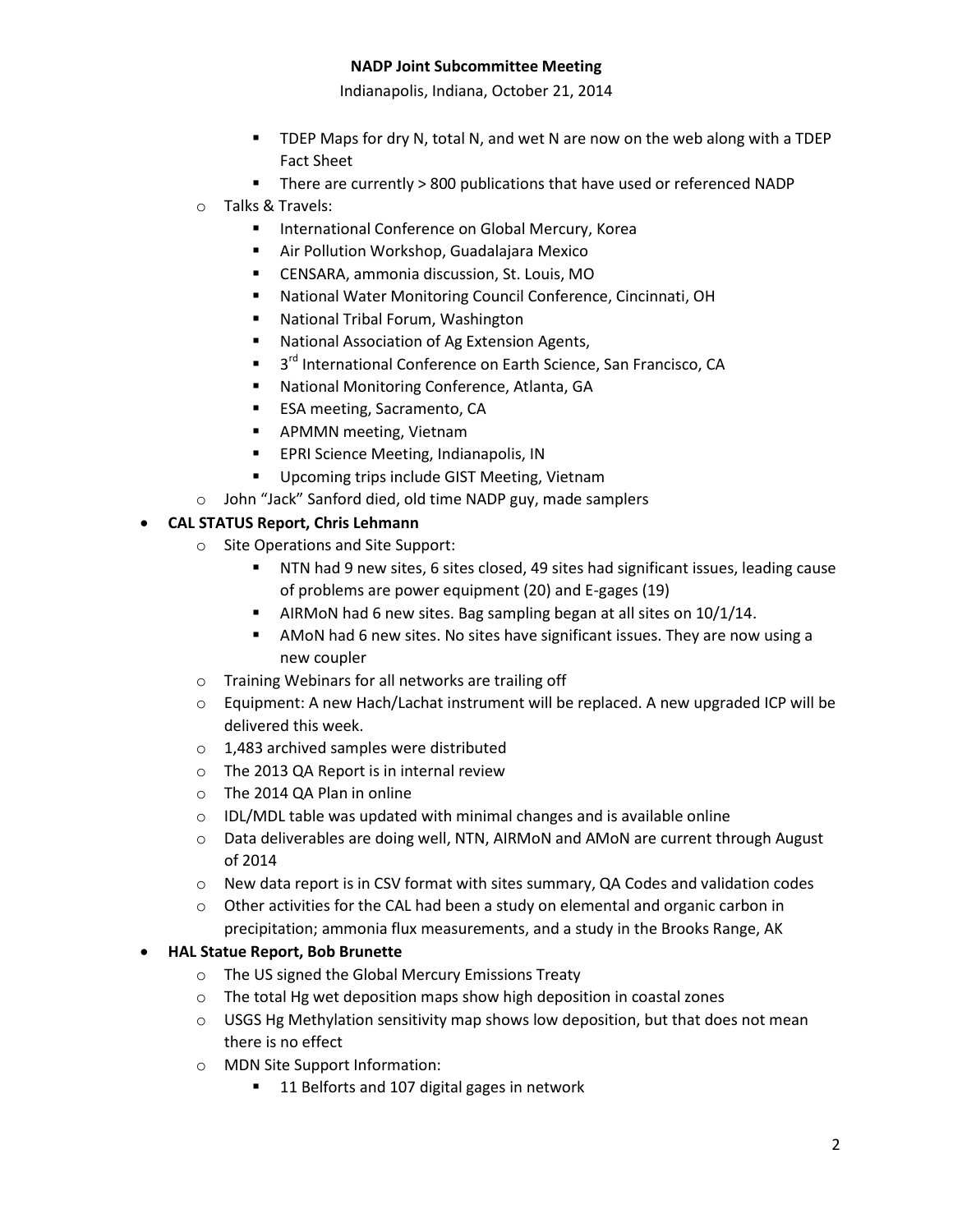Indianapolis, Indiana, October 21, 2014

- TDEP Maps for dry N, total N, and wet N are now on the web along with a TDEP Fact Sheet
- There are currently > 800 publications that have used or referenced NADP
- o Talks & Travels:
	- **International Conference on Global Mercury, Korea**
	- Air Pollution Workshop, Guadalajara Mexico
	- CENSARA, ammonia discussion, St. Louis, MO
	- National Water Monitoring Council Conference, Cincinnati, OH
	- National Tribal Forum, Washington
	- **National Association of Ag Extension Agents,**
	- 3<sup>rd</sup> International Conference on Earth Science, San Francisco, CA
	- National Monitoring Conference, Atlanta, GA
	- **ESA meeting, Sacramento, CA**
	- **APMMN** meeting, Vietnam
	- **EPRI Science Meeting, Indianapolis, IN**
	- **Upcoming trips include GIST Meeting, Vietnam**
- o John "Jack" Sanford died, old time NADP guy, made samplers

## **CAL STATUS Report, Chris Lehmann**

- o Site Operations and Site Support:
	- NTN had 9 new sites, 6 sites closed, 49 sites had significant issues, leading cause of problems are power equipment (20) and E-gages (19)
	- AIRMoN had 6 new sites. Bag sampling began at all sites on 10/1/14.
	- AMoN had 6 new sites. No sites have significant issues. They are now using a new coupler
- o Training Webinars for all networks are trailing off
- o Equipment: A new Hach/Lachat instrument will be replaced. A new upgraded ICP will be delivered this week.
- o 1,483 archived samples were distributed
- o The 2013 QA Report is in internal review
- o The 2014 QA Plan in online
- o IDL/MDL table was updated with minimal changes and is available online
- $\circ$  Data deliverables are doing well, NTN, AIRMoN and AMoN are current through August of 2014
- $\circ$  New data report is in CSV format with sites summary, QA Codes and validation codes
- $\circ$  Other activities for the CAL had been a study on elemental and organic carbon in precipitation; ammonia flux measurements, and a study in the Brooks Range, AK

#### **HAL Statue Report, Bob Brunette**

- o The US signed the Global Mercury Emissions Treaty
- o The total Hg wet deposition maps show high deposition in coastal zones
- $\circ$  USGS Hg Methylation sensitivity map shows low deposition, but that does not mean there is no effect
- o MDN Site Support Information:
	- 11 Belforts and 107 digital gages in network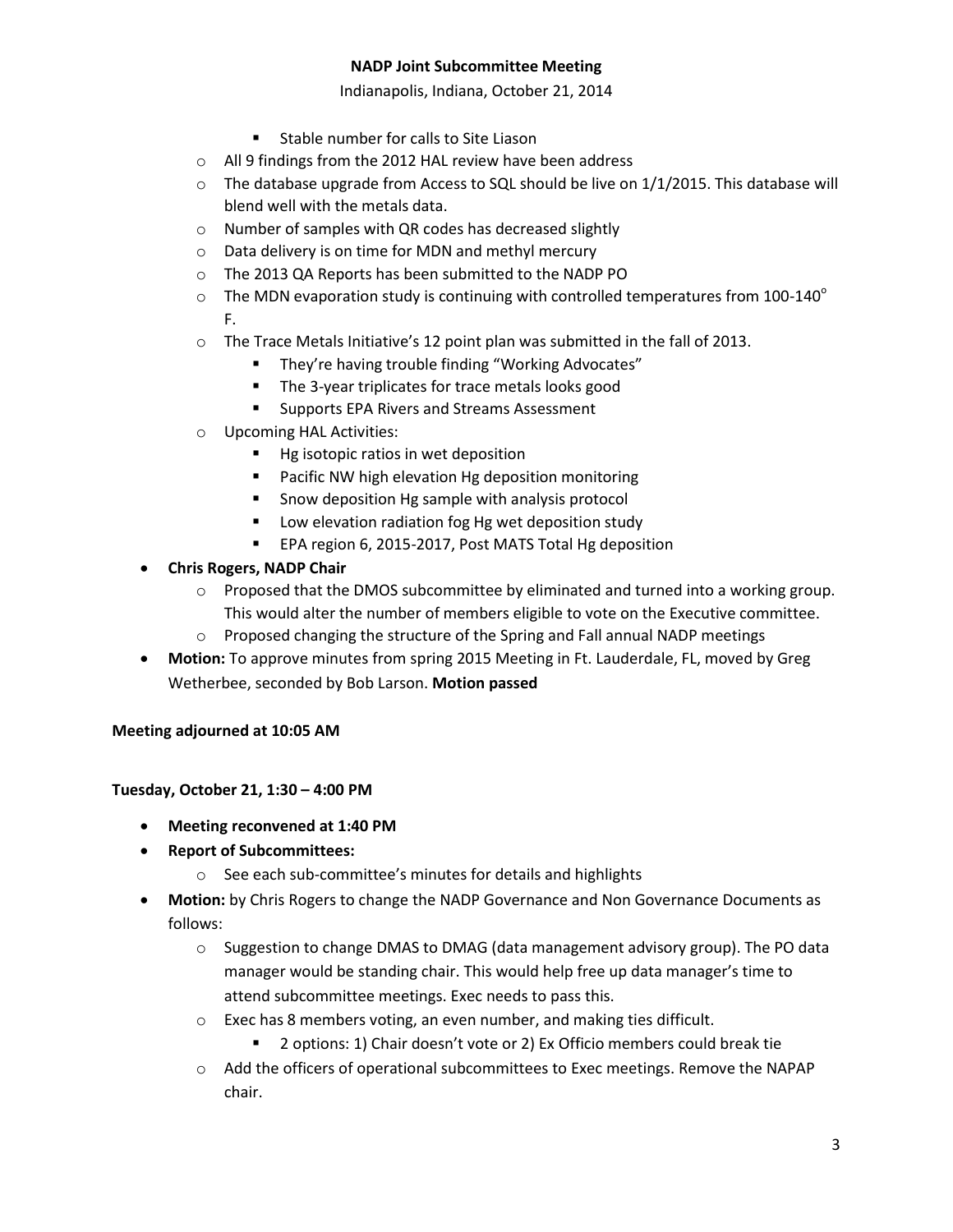Indianapolis, Indiana, October 21, 2014

- **EXT** Stable number for calls to Site Liason
- o All 9 findings from the 2012 HAL review have been address
- $\circ$  The database upgrade from Access to SQL should be live on 1/1/2015. This database will blend well with the metals data.
- o Number of samples with QR codes has decreased slightly
- o Data delivery is on time for MDN and methyl mercury
- o The 2013 QA Reports has been submitted to the NADP PO
- $\circ$  The MDN evaporation study is continuing with controlled temperatures from 100-140 $^{\circ}$ F.
- o The Trace Metals Initiative's 12 point plan was submitted in the fall of 2013.
	- **They're having trouble finding "Working Advocates"**
	- The 3-year triplicates for trace metals looks good
	- **EXECUTE:** Supports EPA Rivers and Streams Assessment
- o Upcoming HAL Activities:
	- Hg isotopic ratios in wet deposition
	- **Pacific NW high elevation Hg deposition monitoring**
	- **Show deposition Hg sample with analysis protocol**
	- **E** Low elevation radiation fog Hg wet deposition study
	- **EPA region 6, 2015-2017, Post MATS Total Hg deposition**

# **Chris Rogers, NADP Chair**

- o Proposed that the DMOS subcommittee by eliminated and turned into a working group. This would alter the number of members eligible to vote on the Executive committee.
- $\circ$  Proposed changing the structure of the Spring and Fall annual NADP meetings
- **Motion:** To approve minutes from spring 2015 Meeting in Ft. Lauderdale, FL, moved by Greg Wetherbee, seconded by Bob Larson. **Motion passed**

# **Meeting adjourned at 10:05 AM**

# **Tuesday, October 21, 1:30 – 4:00 PM**

- **Meeting reconvened at 1:40 PM**
- **Report of Subcommittees:**
	- o See each sub-committee's minutes for details and highlights
- **Motion:** by Chris Rogers to change the NADP Governance and Non Governance Documents as follows:
	- $\circ$  Suggestion to change DMAS to DMAG (data management advisory group). The PO data manager would be standing chair. This would help free up data manager's time to attend subcommittee meetings. Exec needs to pass this.
	- o Exec has 8 members voting, an even number, and making ties difficult.
		- **2** options: 1) Chair doesn't vote or 2) Ex Officio members could break tie
	- o Add the officers of operational subcommittees to Exec meetings. Remove the NAPAP chair.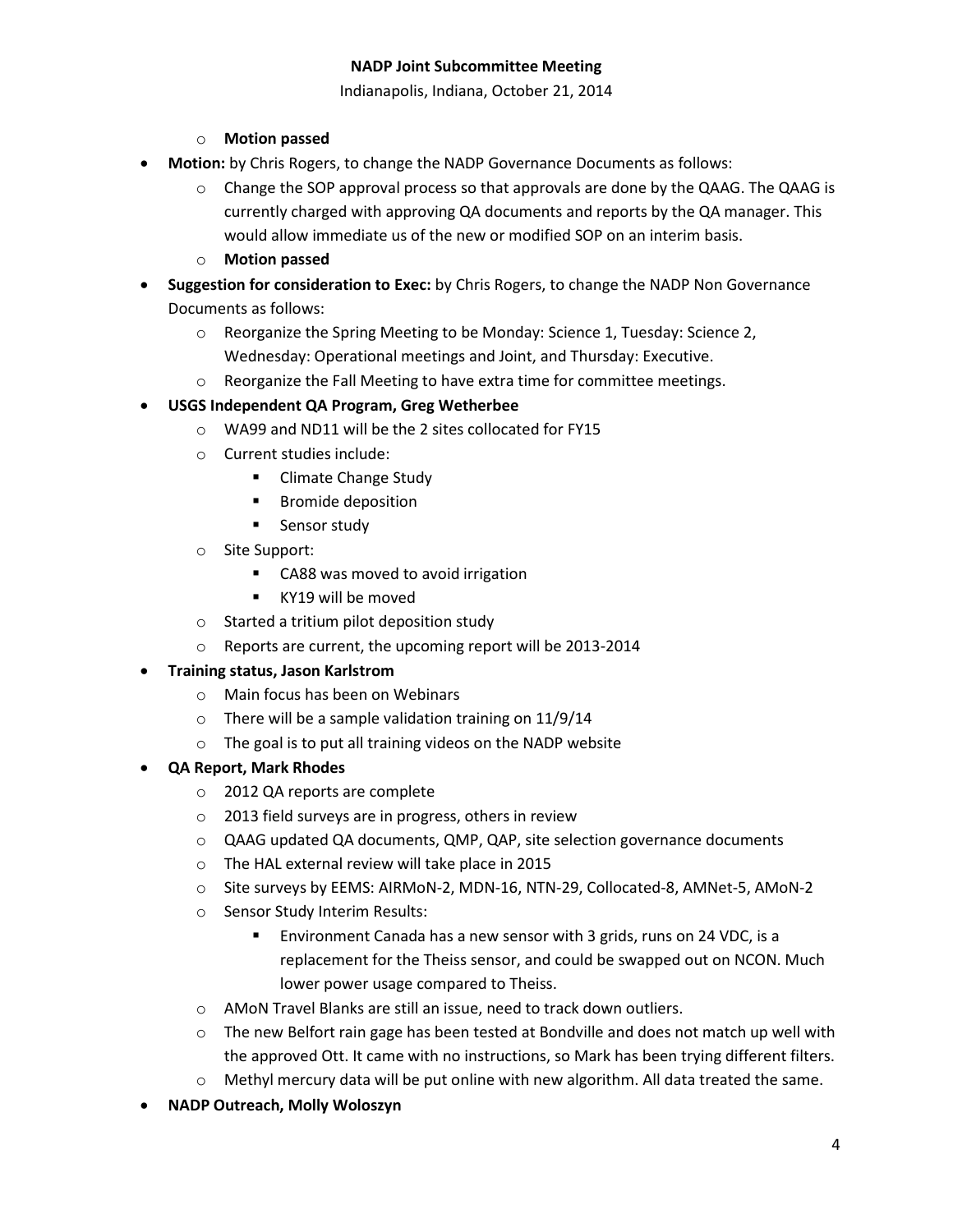Indianapolis, Indiana, October 21, 2014

## o **Motion passed**

- **Motion:** by Chris Rogers, to change the NADP Governance Documents as follows:
	- $\circ$  Change the SOP approval process so that approvals are done by the QAAG. The QAAG is currently charged with approving QA documents and reports by the QA manager. This would allow immediate us of the new or modified SOP on an interim basis.
	- o **Motion passed**
- **Suggestion for consideration to Exec:** by Chris Rogers, to change the NADP Non Governance Documents as follows:
	- o Reorganize the Spring Meeting to be Monday: Science 1, Tuesday: Science 2, Wednesday: Operational meetings and Joint, and Thursday: Executive.
	- o Reorganize the Fall Meeting to have extra time for committee meetings.

## **USGS Independent QA Program, Greg Wetherbee**

- o WA99 and ND11 will be the 2 sites collocated for FY15
- o Current studies include:
	- **E** Climate Change Study
	- Bromide deposition
	- **Sensor study**
- o Site Support:
	- **CA88** was moved to avoid irrigation
	- KY19 will be moved
- o Started a tritium pilot deposition study
- o Reports are current, the upcoming report will be 2013-2014

# **Training status, Jason Karlstrom**

- o Main focus has been on Webinars
- o There will be a sample validation training on 11/9/14
- o The goal is to put all training videos on the NADP website

#### **QA Report, Mark Rhodes**

- o 2012 QA reports are complete
- o 2013 field surveys are in progress, others in review
- o QAAG updated QA documents, QMP, QAP, site selection governance documents
- o The HAL external review will take place in 2015
- o Site surveys by EEMS: AIRMoN-2, MDN-16, NTN-29, Collocated-8, AMNet-5, AMoN-2
- o Sensor Study Interim Results:
	- Environment Canada has a new sensor with 3 grids, runs on 24 VDC, is a replacement for the Theiss sensor, and could be swapped out on NCON. Much lower power usage compared to Theiss.
- o AMoN Travel Blanks are still an issue, need to track down outliers.
- $\circ$  The new Belfort rain gage has been tested at Bondville and does not match up well with the approved Ott. It came with no instructions, so Mark has been trying different filters.
- $\circ$  Methyl mercury data will be put online with new algorithm. All data treated the same.
- **NADP Outreach, Molly Woloszyn**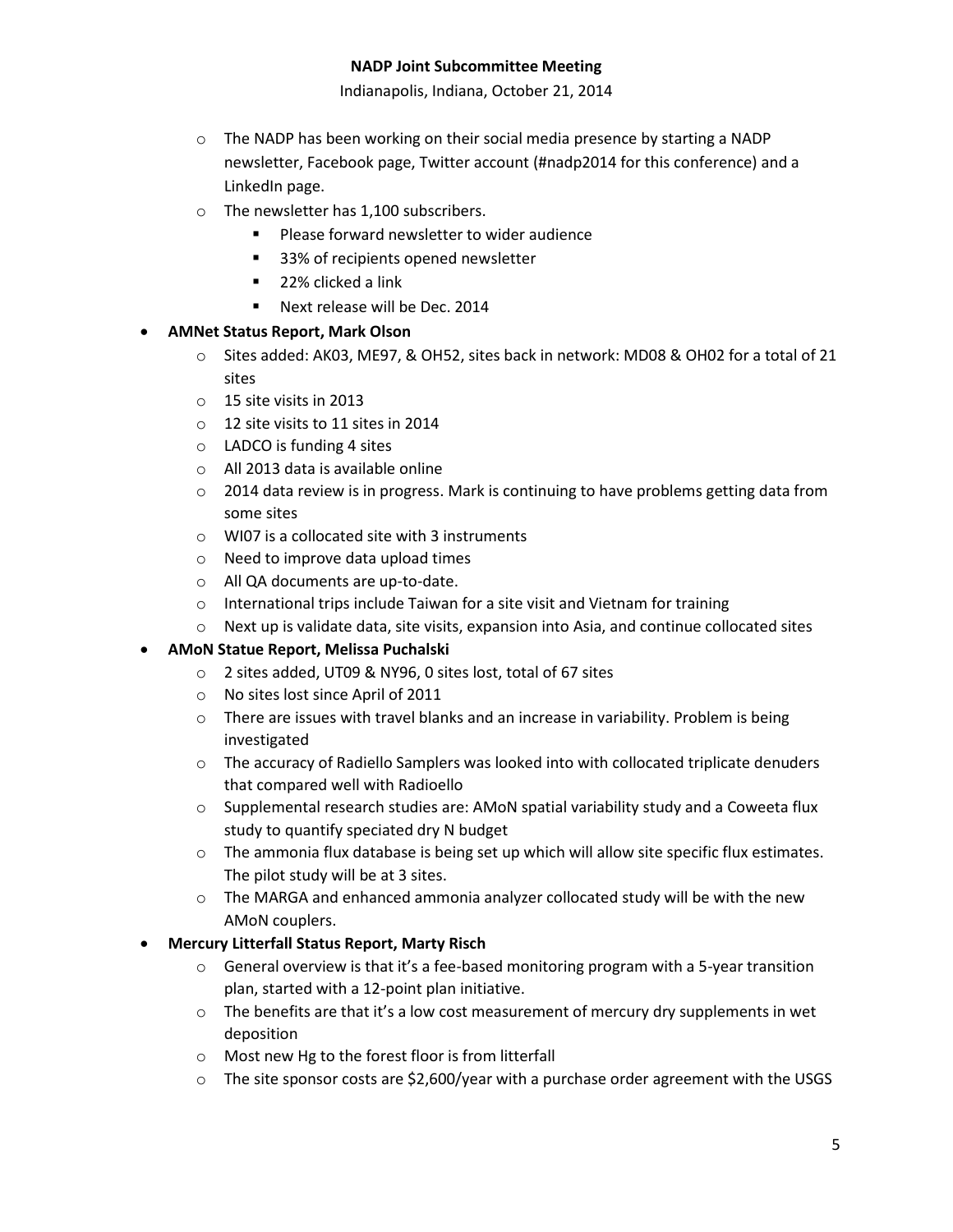Indianapolis, Indiana, October 21, 2014

- $\circ$  The NADP has been working on their social media presence by starting a NADP newsletter, Facebook page, Twitter account (#nadp2014 for this conference) and a LinkedIn page.
- o The newsletter has 1,100 subscribers.
	- **Please forward newsletter to wider audience**
	- 33% of recipients opened newsletter
	- **22% clicked a link**
	- Next release will be Dec. 2014

#### **AMNet Status Report, Mark Olson**

- o Sites added: AK03, ME97, & OH52, sites back in network: MD08 & OH02 for a total of 21 sites
- o 15 site visits in 2013
- o 12 site visits to 11 sites in 2014
- o LADCO is funding 4 sites
- o All 2013 data is available online
- $\circ$  2014 data review is in progress. Mark is continuing to have problems getting data from some sites
- o WI07 is a collocated site with 3 instruments
- o Need to improve data upload times
- o All QA documents are up-to-date.
- o International trips include Taiwan for a site visit and Vietnam for training
- $\circ$  Next up is validate data, site visits, expansion into Asia, and continue collocated sites

# **AMoN Statue Report, Melissa Puchalski**

- o 2 sites added, UT09 & NY96, 0 sites lost, total of 67 sites
- o No sites lost since April of 2011
- $\circ$  There are issues with travel blanks and an increase in variability. Problem is being investigated
- $\circ$  The accuracy of Radiello Samplers was looked into with collocated triplicate denuders that compared well with Radioello
- $\circ$  Supplemental research studies are: AMoN spatial variability study and a Coweeta flux study to quantify speciated dry N budget
- o The ammonia flux database is being set up which will allow site specific flux estimates. The pilot study will be at 3 sites.
- $\circ$  The MARGA and enhanced ammonia analyzer collocated study will be with the new AMoN couplers.

#### **Mercury Litterfall Status Report, Marty Risch**

- $\circ$  General overview is that it's a fee-based monitoring program with a 5-year transition plan, started with a 12-point plan initiative.
- $\circ$  The benefits are that it's a low cost measurement of mercury dry supplements in wet deposition
- o Most new Hg to the forest floor is from litterfall
- $\circ$  The site sponsor costs are \$2,600/year with a purchase order agreement with the USGS